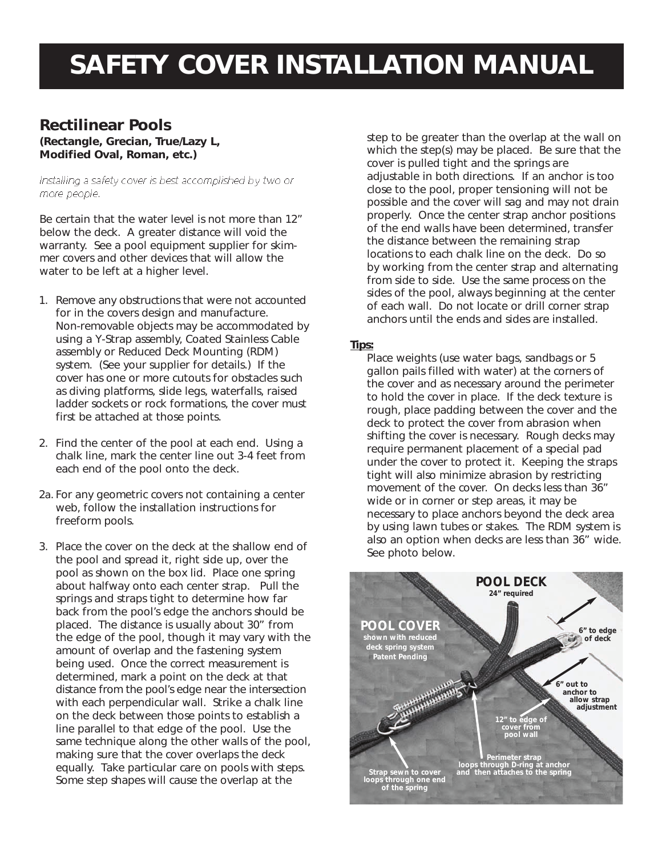## **SAFETY COVER INSTALLATION MANUAL**

### **Rectilinear Pools**

**(Rectangle, Grecian, True/Lazy L, Modified Oval, Roman, etc.)**

Installing a safety cover is best accomplished by two or more people.

*Be certain that the water level is not more than 12" below the deck. A greater distance will void the warranty. See a pool equipment supplier for skimmer covers and other devices that will allow the water to be left at a higher level.*

- 1. Remove any obstructions that were not accounted for in the covers design and manufacture. Non-removable objects may be accommodated by using a Y-Strap assembly, Coated Stainless Cable assembly or Reduced Deck Mounting (RDM) system. (See your supplier for details.) If the cover has one or more cutouts for obstacles such as diving platforms, slide legs, waterfalls, raised ladder sockets or rock formations, the cover must first be attached at those points.
- 2. Find the center of the pool at each end. Using a chalk line, mark the center line out 3-4 feet from each end of the pool onto the deck.
- 2a. For any geometric covers not containing a center web, follow the installation instructions for freeform pools.
- 3. Place the cover on the deck at the shallow end of the pool and spread it, right side up, over the pool as shown on the box lid. Place one spring about halfway onto each center strap. Pull the springs and straps tight to determine how far back from the pool's edge the anchors should be placed. The distance is usually about 30" from the edge of the pool, though it may vary with the amount of overlap and the fastening system being used. Once the correct measurement is determined, mark a point on the deck at that distance from the pool's edge near the intersection with each perpendicular wall. Strike a chalk line on the deck between those points to establish a line parallel to that edge of the pool. Use the same technique along the other walls of the pool, making sure that the cover overlaps the deck equally. Take particular care on pools with steps. Some step shapes will cause the overlap at the

step to be greater than the overlap at the wall on which the step(s) may be placed. Be sure that the cover is pulled tight and the springs are adjustable in both directions. If an anchor is too close to the pool, proper tensioning will not be possible and the cover will sag and may not drain properly. Once the center strap anchor positions of the end walls have been determined, transfer the distance between the remaining strap locations to each chalk line on the deck. Do so by working from the center strap and alternating from side to side. Use the same process on the sides of the pool, always beginning at the center of each wall. Do not locate or drill corner strap anchors until the ends and sides are installed.

#### *Tips:*

Place weights (use water bags, sandbags or 5 gallon pails filled with water) at the corners of the cover and as necessary around the perimeter to hold the cover in place. If the deck texture is rough, place padding between the cover and the deck to protect the cover from abrasion when shifting the cover is necessary. Rough decks may require permanent placement of a special pad under the cover to protect it. Keeping the straps tight will also minimize abrasion by restricting movement of the cover. On decks less than 36" wide or in corner or step areas, it may be necessary to place anchors beyond the deck area by using lawn tubes or stakes. The RDM system is also an option when decks are less than 36" wide. *See photo below.*

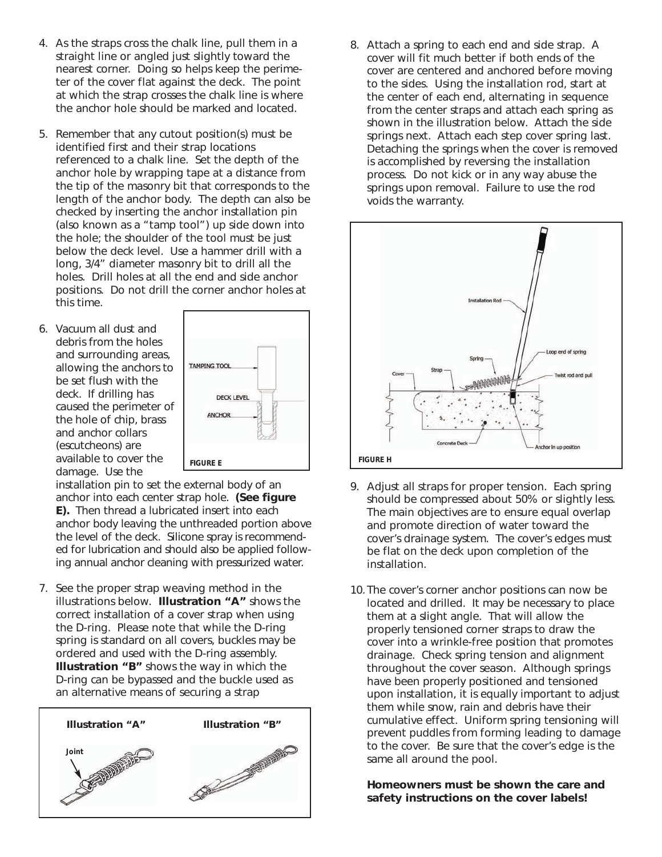- *4*. As the straps cross the chalk line, pull them in a straight line or angled just slightly toward the nearest corner. Doing so helps keep the perimeter of the cover flat against the deck. The point at which the strap crosses the chalk line is where the anchor hole should be marked and located.
- 5. Remember that any cutout position(s) must be identified first and their strap locations referenced to a chalk line. Set the depth of the anchor hole by wrapping tape at a distance from the tip of the masonry bit that corresponds to the length of the anchor body. The depth can also be checked by inserting the anchor installation pin (also known as a "tamp tool") up side down into the hole; the shoulder of the tool must be just below the deck level. Use a hammer drill with a long, 3/4" diameter masonry bit to drill all the holes. Drill holes at all the end and side anchor positions. Do not drill the corner anchor holes at this time.
- 6. Vacuum all dust and debris from the holes and surrounding areas, allowing the anchors to be set flush with the deck. If drilling has caused the perimeter of the hole of chip, brass and anchor collars (escutcheons) are available to cover the damage. Use the



installation pin to set the external body of an anchor into each center strap hole. **(See figure E).** Then thread a lubricated insert into each anchor body leaving the unthreaded portion above the level of the deck. Silicone spray is recommended for lubrication and should also be applied following annual anchor cleaning with pressurized water.

7. See the proper strap weaving method in the illustrations below. **Illustration "A"** shows the correct installation of a cover strap when using the D-ring. Please note that while the D-ring spring is standard on all covers, buckles may be ordered and used with the D-ring assembly. **Illustration "B"** shows the way in which the D-ring can be bypassed and the buckle used as an alternative means of securing a strap



8. Attach a spring to each end and side strap. A cover will fit much better if both ends of the cover are centered and anchored before moving to the sides. Using the installation rod, start at the center of each end, alternating in sequence from the center straps and attach each spring as shown in the illustration below. Attach the side springs next. Attach each step cover spring last. *Detaching the springs when the cover is removed is accomplished by reversing the installation process. Do not kick or in any way abuse the springs upon removal. Failure to use the rod voids the warranty.*



- 9. Adjust all straps for proper tension. Each spring should be compressed about 50% or slightly less. The main objectives are to ensure equal overlap and promote direction of water toward the cover's drainage system. The cover's edges must be flat on the deck upon completion of the installation.
- 10. The cover's corner anchor positions can now be located and drilled. It may be necessary to place them at a slight angle. That will allow the properly tensioned corner straps to draw the cover into a wrinkle-free position that promotes drainage. *Check spring tension and alignment throughout the cover season. Although springs have been properly positioned and tensioned upon installation, it is equally important to adjust them while snow, rain and debris have their cumulative effect. Uniform spring tensioning will prevent puddles from forming leading to damage to the cover. Be sure that the cover's edge is the same all around the pool.*

**Homeowners must be shown the care and safety instructions on the cover labels!**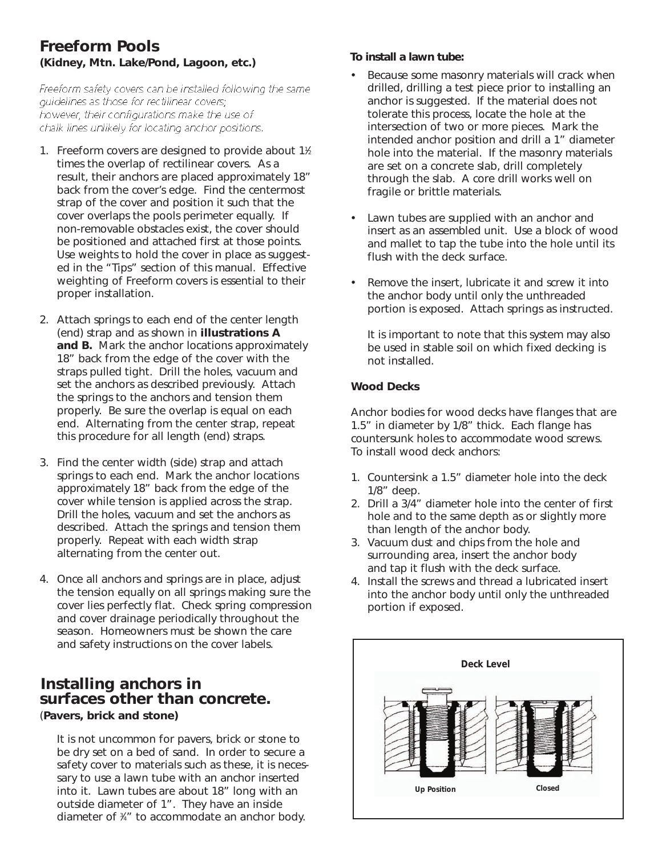#### **Freeform Pools (Kidney, Mtn. Lake/Pond, Lagoon, etc.)**

Freeform safety covers can be installed following the same guidelines as those for rectilinear covers; however, their configurations make the use of chalk lines unlikely for locating anchor positions.

- 1. Freeform covers are designed to provide about 1<sup>1/2</sup> times the overlap of rectilinear covers. As a result, their anchors are placed approximately 18" back from the cover's edge. Find the centermost strap of the cover and position it such that the cover overlaps the pools perimeter equally. If non-removable obstacles exist, the cover should be positioned and attached first at those points. Use weights to hold the cover in place as suggested in the "Tips" section of this manual. Effective weighting of Freeform covers is essential to their proper installation.
- 2. Attach springs to each end of the center length (end) strap and as shown in **illustrations A and B.** Mark the anchor locations approximately 18" back from the edge of the cover with the straps pulled tight. Drill the holes, vacuum and set the anchors as described previously. Attach the springs to the anchors and tension them properly. Be sure the overlap is equal on each end. Alternating from the center strap, repeat this procedure for all length (end) straps.
- 3. Find the center width (side) strap and attach springs to each end. Mark the anchor locations approximately 18" back from the edge of the cover while tension is applied across the strap. Drill the holes, vacuum and set the anchors as described. Attach the springs and tension them properly. Repeat with each width strap alternating from the center out.
- 4. Once all anchors and springs are in place, adjust the tension equally on all springs making sure the cover lies perfectly flat. Check spring compression and cover drainage periodically throughout the season. Homeowners must be shown the care and safety instructions on the cover labels.

## **Installing anchors in surfaces other than concrete.**

(**Pavers, brick and stone)**

It is not uncommon for pavers, brick or stone to be dry set on a bed of sand. In order to secure a safety cover to materials such as these, it is necessary to use a lawn tube with an anchor inserted into it. Lawn tubes are about 18" long with an outside diameter of 1". They have an inside diameter of 3 ⁄4" to accommodate an anchor body.

#### *To install a lawn tube:*

- Because some masonry materials will crack when drilled, drilling a test piece prior to installing an anchor is suggested. If the material does not tolerate this process, locate the hole at the intersection of two or more pieces. Mark the intended anchor position and drill a 1" diameter hole into the material. If the masonry materials are set on a concrete slab, drill completely through the slab. A core drill works well on fragile or brittle materials.
- Lawn tubes are supplied with an anchor and insert as an assembled unit. Use a block of wood and mallet to tap the tube into the hole until its flush with the deck surface.
- Remove the insert, lubricate it and screw it into the anchor body until only the unthreaded portion is exposed. Attach springs as instructed.

*It is important to note that this system may also be used in stable soil on which fixed decking is not installed.*

#### **Wood Decks**

Anchor bodies for wood decks have flanges that are 1.5" in diameter by 1/8" thick. Each flange has countersunk holes to accommodate wood screws. To install wood deck anchors:

- 1. Countersink a 1.5" diameter hole into the deck 1/8" deep.
- 2. Drill a 3/4" diameter hole into the center of first hole and to the same depth as or slightly more than length of the anchor body.
- 3. Vacuum dust and chips from the hole and surrounding area, insert the anchor body and tap it flush with the deck surface.
- 4. Install the screws and thread a lubricated insert into the anchor body until only the unthreaded portion if exposed.

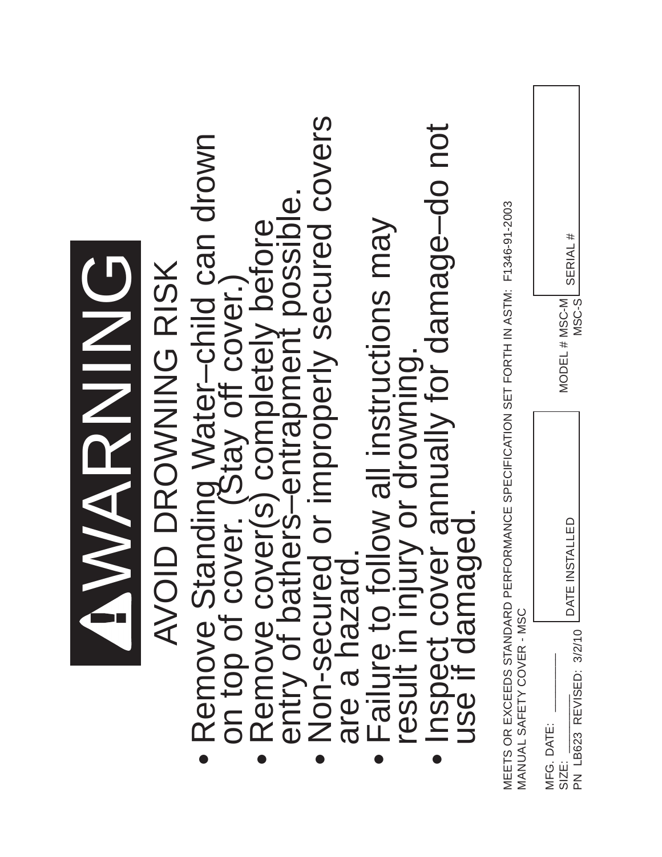|                                                                                                                                                           | MARNING                             |
|-----------------------------------------------------------------------------------------------------------------------------------------------------------|-------------------------------------|
| AVOID DROWNING RISK                                                                                                                                       |                                     |
| Remove Standing Water-child can drown<br>on top of cover. (Stay off cover.)<br>Remove cover(s) completely before<br>entry of bathers-entrapment possible. |                                     |
|                                                                                                                                                           |                                     |
| Non-secured or improperly secured covers<br>are a hazard                                                                                                  |                                     |
|                                                                                                                                                           |                                     |
| Failure to follow all instructions may<br>result in injury or drowning.<br>Inspect cover annually for damage-do not<br>use if damaged.                    |                                     |
| MEETS OR EXCEEDS STANDARD PERFORMANCE SPECIFICATION SET FORTH IN ASTM: F1346-91-2003<br>MANUAL SAFETY COVER - MSC                                         |                                     |
| DATE INSTALLED<br>PN LB623 REVISED: 3/2/10<br>MFG. DATE:<br>SIZE:                                                                                         | SERIAL #<br>MODEL # MSC-M<br>MSC-SL |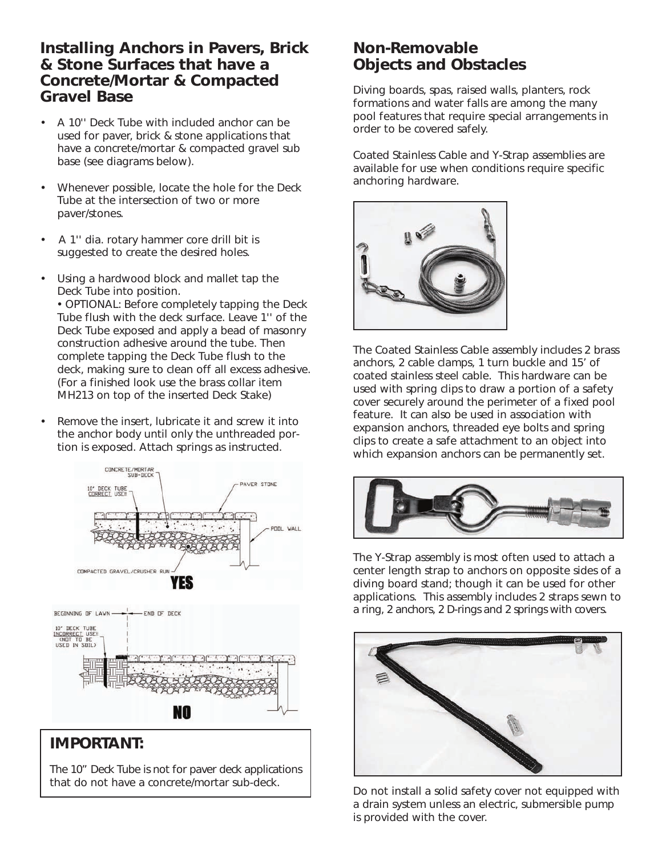#### **Installing Anchors in Pavers, Brick & Stone Surfaces that have a Concrete/Mortar & Compacted Gravel Base**

- A 10'' Deck Tube with included anchor can be used for paver, brick & stone applications that have a concrete/mortar & compacted gravel sub base (see diagrams below).
- Whenever possible, locate the hole for the Deck Tube at the intersection of two or more paver/stones.
- A 1'' dia. rotary hammer core drill bit is suggested to create the desired holes.
- Using a hardwood block and mallet tap the Deck Tube into position.

• OPTIONAL: Before completely tapping the Deck Tube flush with the deck surface. Leave 1'' of the Deck Tube exposed and apply a bead of masonry construction adhesive around the tube. Then complete tapping the Deck Tube flush to the deck, making sure to clean off all excess adhesive. (For a finished look use the brass collar item MH213 on top of the inserted Deck Stake)

Remove the insert, lubricate it and screw it into the anchor body until only the unthreaded portion is exposed. Attach springs as instructed.



#### **IMPORTANT:**

The 10" Deck Tube is not for paver deck applications that do not have a concrete/mortar sub-deck.

#### **Non-Removable Objects and Obstacles**

Diving boards, spas, raised walls, planters, rock formations and water falls are among the many pool features that require special arrangements in order to be covered safely.

Coated Stainless Cable and Y-Strap assemblies are available for use when conditions require specific anchoring hardware.



The Coated Stainless Cable assembly includes 2 brass anchors, 2 cable clamps, 1 turn buckle and 15' of coated stainless steel cable. This hardware can be used with spring clips to draw a portion of a safety cover securely around the perimeter of a fixed pool feature. It can also be used in association with expansion anchors, threaded eye bolts and spring clips to create a safe attachment to an object into which expansion anchors can be permanently set.



The Y-Strap assembly is most often used to attach a center length strap to anchors on opposite sides of a diving board stand; though it can be used for other applications. This assembly includes 2 straps sewn to a ring, 2 anchors, 2 D-rings and 2 springs with covers.



*Do not install a solid safety cover not equipped with a drain system unless an electric, submersible pump is provided with the cover.*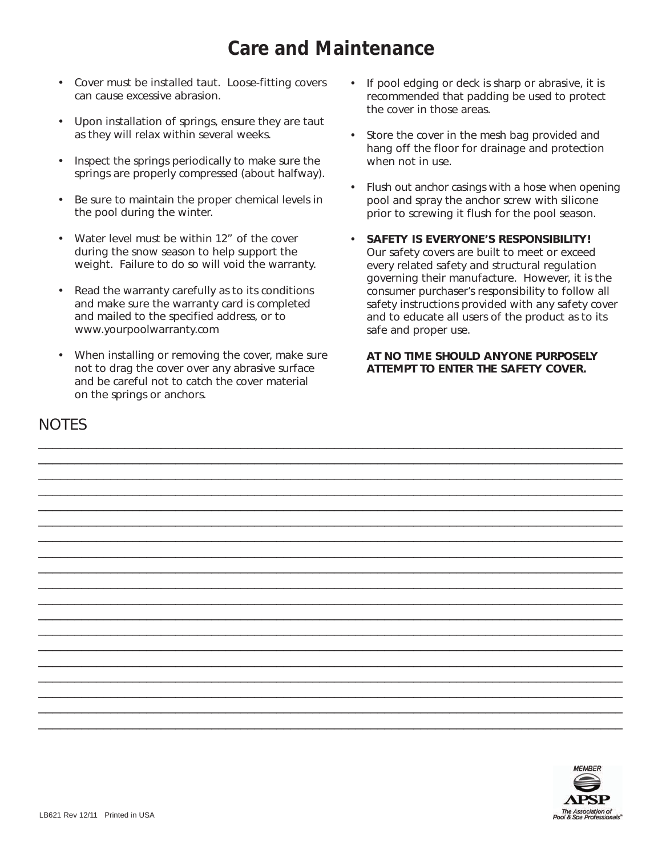## **Care and Maintenance**

\_\_\_\_\_\_\_\_\_\_\_\_\_\_\_\_\_\_\_\_\_\_\_\_\_\_\_\_\_\_\_\_\_\_\_\_\_\_\_\_\_\_\_\_\_\_\_\_\_\_\_\_\_\_\_\_\_\_\_\_\_\_\_\_\_\_\_\_\_\_\_\_\_\_\_\_\_\_\_\_\_ \_\_\_\_\_\_\_\_\_\_\_\_\_\_\_\_\_\_\_\_\_\_\_\_\_\_\_\_\_\_\_\_\_\_\_\_\_\_\_\_\_\_\_\_\_\_\_\_\_\_\_\_\_\_\_\_\_\_\_\_\_\_\_\_\_\_\_\_\_\_\_\_\_\_\_\_\_\_\_\_\_ \_\_\_\_\_\_\_\_\_\_\_\_\_\_\_\_\_\_\_\_\_\_\_\_\_\_\_\_\_\_\_\_\_\_\_\_\_\_\_\_\_\_\_\_\_\_\_\_\_\_\_\_\_\_\_\_\_\_\_\_\_\_\_\_\_\_\_\_\_\_\_\_\_\_\_\_\_\_\_\_\_ \_\_\_\_\_\_\_\_\_\_\_\_\_\_\_\_\_\_\_\_\_\_\_\_\_\_\_\_\_\_\_\_\_\_\_\_\_\_\_\_\_\_\_\_\_\_\_\_\_\_\_\_\_\_\_\_\_\_\_\_\_\_\_\_\_\_\_\_\_\_\_\_\_\_\_\_\_\_\_\_\_ \_\_\_\_\_\_\_\_\_\_\_\_\_\_\_\_\_\_\_\_\_\_\_\_\_\_\_\_\_\_\_\_\_\_\_\_\_\_\_\_\_\_\_\_\_\_\_\_\_\_\_\_\_\_\_\_\_\_\_\_\_\_\_\_\_\_\_\_\_\_\_\_\_\_\_\_\_\_\_\_\_ \_\_\_\_\_\_\_\_\_\_\_\_\_\_\_\_\_\_\_\_\_\_\_\_\_\_\_\_\_\_\_\_\_\_\_\_\_\_\_\_\_\_\_\_\_\_\_\_\_\_\_\_\_\_\_\_\_\_\_\_\_\_\_\_\_\_\_\_\_\_\_\_\_\_\_\_\_\_\_\_\_ \_\_\_\_\_\_\_\_\_\_\_\_\_\_\_\_\_\_\_\_\_\_\_\_\_\_\_\_\_\_\_\_\_\_\_\_\_\_\_\_\_\_\_\_\_\_\_\_\_\_\_\_\_\_\_\_\_\_\_\_\_\_\_\_\_\_\_\_\_\_\_\_\_\_\_\_\_\_\_\_\_ \_\_\_\_\_\_\_\_\_\_\_\_\_\_\_\_\_\_\_\_\_\_\_\_\_\_\_\_\_\_\_\_\_\_\_\_\_\_\_\_\_\_\_\_\_\_\_\_\_\_\_\_\_\_\_\_\_\_\_\_\_\_\_\_\_\_\_\_\_\_\_\_\_\_\_\_\_\_\_\_\_ \_\_\_\_\_\_\_\_\_\_\_\_\_\_\_\_\_\_\_\_\_\_\_\_\_\_\_\_\_\_\_\_\_\_\_\_\_\_\_\_\_\_\_\_\_\_\_\_\_\_\_\_\_\_\_\_\_\_\_\_\_\_\_\_\_\_\_\_\_\_\_\_\_\_\_\_\_\_\_\_\_ \_\_\_\_\_\_\_\_\_\_\_\_\_\_\_\_\_\_\_\_\_\_\_\_\_\_\_\_\_\_\_\_\_\_\_\_\_\_\_\_\_\_\_\_\_\_\_\_\_\_\_\_\_\_\_\_\_\_\_\_\_\_\_\_\_\_\_\_\_\_\_\_\_\_\_\_\_\_\_\_\_ \_\_\_\_\_\_\_\_\_\_\_\_\_\_\_\_\_\_\_\_\_\_\_\_\_\_\_\_\_\_\_\_\_\_\_\_\_\_\_\_\_\_\_\_\_\_\_\_\_\_\_\_\_\_\_\_\_\_\_\_\_\_\_\_\_\_\_\_\_\_\_\_\_\_\_\_\_\_\_\_\_ \_\_\_\_\_\_\_\_\_\_\_\_\_\_\_\_\_\_\_\_\_\_\_\_\_\_\_\_\_\_\_\_\_\_\_\_\_\_\_\_\_\_\_\_\_\_\_\_\_\_\_\_\_\_\_\_\_\_\_\_\_\_\_\_\_\_\_\_\_\_\_\_\_\_\_\_\_\_\_\_\_ \_\_\_\_\_\_\_\_\_\_\_\_\_\_\_\_\_\_\_\_\_\_\_\_\_\_\_\_\_\_\_\_\_\_\_\_\_\_\_\_\_\_\_\_\_\_\_\_\_\_\_\_\_\_\_\_\_\_\_\_\_\_\_\_\_\_\_\_\_\_\_\_\_\_\_\_\_\_\_\_\_ \_\_\_\_\_\_\_\_\_\_\_\_\_\_\_\_\_\_\_\_\_\_\_\_\_\_\_\_\_\_\_\_\_\_\_\_\_\_\_\_\_\_\_\_\_\_\_\_\_\_\_\_\_\_\_\_\_\_\_\_\_\_\_\_\_\_\_\_\_\_\_\_\_\_\_\_\_\_\_\_\_ \_\_\_\_\_\_\_\_\_\_\_\_\_\_\_\_\_\_\_\_\_\_\_\_\_\_\_\_\_\_\_\_\_\_\_\_\_\_\_\_\_\_\_\_\_\_\_\_\_\_\_\_\_\_\_\_\_\_\_\_\_\_\_\_\_\_\_\_\_\_\_\_\_\_\_\_\_\_\_\_\_ \_\_\_\_\_\_\_\_\_\_\_\_\_\_\_\_\_\_\_\_\_\_\_\_\_\_\_\_\_\_\_\_\_\_\_\_\_\_\_\_\_\_\_\_\_\_\_\_\_\_\_\_\_\_\_\_\_\_\_\_\_\_\_\_\_\_\_\_\_\_\_\_\_\_\_\_\_\_\_\_\_ \_\_\_\_\_\_\_\_\_\_\_\_\_\_\_\_\_\_\_\_\_\_\_\_\_\_\_\_\_\_\_\_\_\_\_\_\_\_\_\_\_\_\_\_\_\_\_\_\_\_\_\_\_\_\_\_\_\_\_\_\_\_\_\_\_\_\_\_\_\_\_\_\_\_\_\_\_\_\_\_\_ \_\_\_\_\_\_\_\_\_\_\_\_\_\_\_\_\_\_\_\_\_\_\_\_\_\_\_\_\_\_\_\_\_\_\_\_\_\_\_\_\_\_\_\_\_\_\_\_\_\_\_\_\_\_\_\_\_\_\_\_\_\_\_\_\_\_\_\_\_\_\_\_\_\_\_\_\_\_\_\_\_ \_\_\_\_\_\_\_\_\_\_\_\_\_\_\_\_\_\_\_\_\_\_\_\_\_\_\_\_\_\_\_\_\_\_\_\_\_\_\_\_\_\_\_\_\_\_\_\_\_\_\_\_\_\_\_\_\_\_\_\_\_\_\_\_\_\_\_\_\_\_\_\_\_\_\_\_\_\_\_\_\_

- Cover must be installed taut. Loose-fitting covers can cause excessive abrasion.
- Upon installation of springs, ensure they are taut as they will relax within several weeks.
- Inspect the springs periodically to make sure the springs are properly compressed (about halfway).
- Be sure to maintain the proper chemical levels in the pool during the winter.
- Water level must be within 12" of the cover during the snow season to help support the weight. Failure to do so will void the warranty.
- Read the warranty carefully as to its conditions and make sure the warranty card is completed and mailed to the specified address, or to www.yourpoolwarranty.com
- When installing or removing the cover, make sure not to drag the cover over any abrasive surface and be careful not to catch the cover material on the springs or anchors.
- If pool edging or deck is sharp or abrasive, it is recommended that padding be used to protect the cover in those areas.
- Store the cover in the mesh bag provided and hang off the floor for drainage and protection when not in use.
- Flush out anchor casings with a hose when opening pool and spray the anchor screw with silicone prior to screwing it flush for the pool season.
- **SAFETY IS EVERYONE'S RESPONSIBILITY!** Our safety covers are built to meet or exceed every related safety and structural regulation governing their manufacture. However, it is the consumer purchaser's responsibility to follow all safety instructions provided with any safety cover and to educate all users of the product as to its safe and proper use.

#### **AT NO TIME SHOULD ANYONE PURPOSELY ATTEMPT TO ENTER THE SAFETY COVER.**

#### **NOTES**